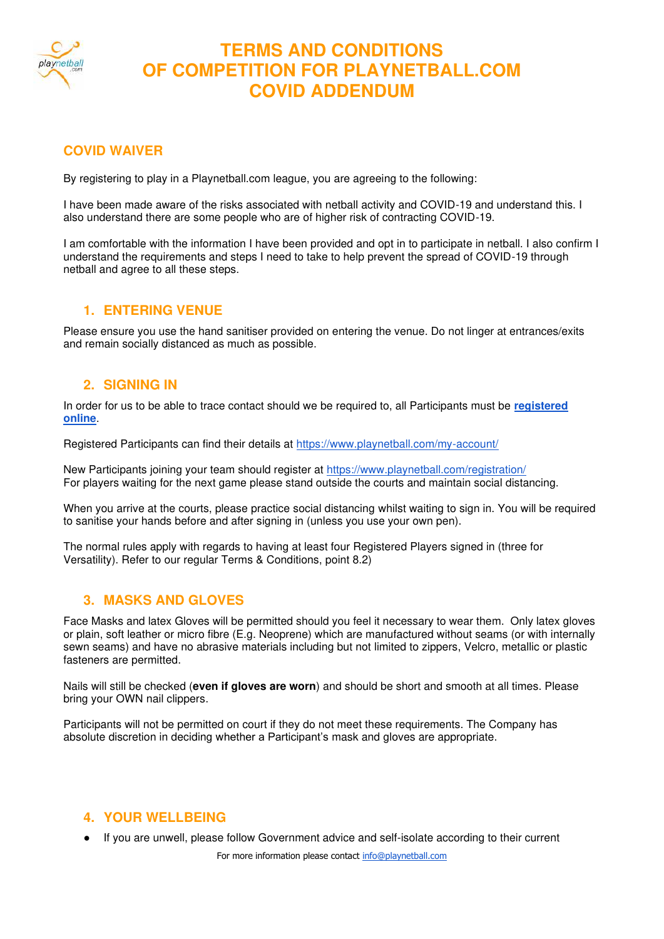

# **TERMS AND CONDITIONS OF COMPETITION FOR PLAYNETBALL.COM COVID ADDENDUM**

## **COVID WAIVER**

By registering to play in a Playnetball.com league, you are agreeing to the following:

I have been made aware of the risks associated with netball activity and COVID-19 and understand this. I also understand there are some people who are of higher risk of contracting COVID-19.

I am comfortable with the information I have been provided and opt in to participate in netball. I also confirm I understand the requirements and steps I need to take to help prevent the spread of COVID-19 through netball and agree to all these steps.

#### **1. ENTERING VENUE**

Please ensure you use the hand sanitiser provided on entering the venue. Do not linger at entrances/exits and remain socially distanced as much as possible.

### **2. SIGNING IN**

In order for us to be able to trace contact should we be required to, all Participants must be **[registered](https://www.playnetball.com/registration/)  [online](https://www.playnetball.com/registration/)**.

Registered Participants can find their details at<https://www.playnetball.com/my-account/>

New Participants joining your team should register at<https://www.playnetball.com/registration/> For players waiting for the next game please stand outside the courts and maintain social distancing.

When you arrive at the courts, please practice social distancing whilst waiting to sign in. You will be required to sanitise your hands before and after signing in (unless you use your own pen).

The normal rules apply with regards to having at least four Registered Players signed in (three for Versatility). Refer to our regular Terms & Conditions, point 8.2)

### **3. MASKS AND GLOVES**

Face Masks and latex Gloves will be permitted should you feel it necessary to wear them. Only latex gloves or plain, soft leather or micro fibre (E.g. Neoprene) which are manufactured without seams (or with internally sewn seams) and have no abrasive materials including but not limited to zippers, Velcro, metallic or plastic fasteners are permitted.

Nails will still be checked (**even if gloves are worn**) and should be short and smooth at all times. Please bring your OWN nail clippers.

Participants will not be permitted on court if they do not meet these requirements. The Company has absolute discretion in deciding whether a Participant's mask and gloves are appropriate.

#### **4. YOUR WELLBEING**

If you are unwell, please follow Government advice and self-isolate according to their current

For more information please contact [info@playnetball.com](mailto:info@playnetball.com)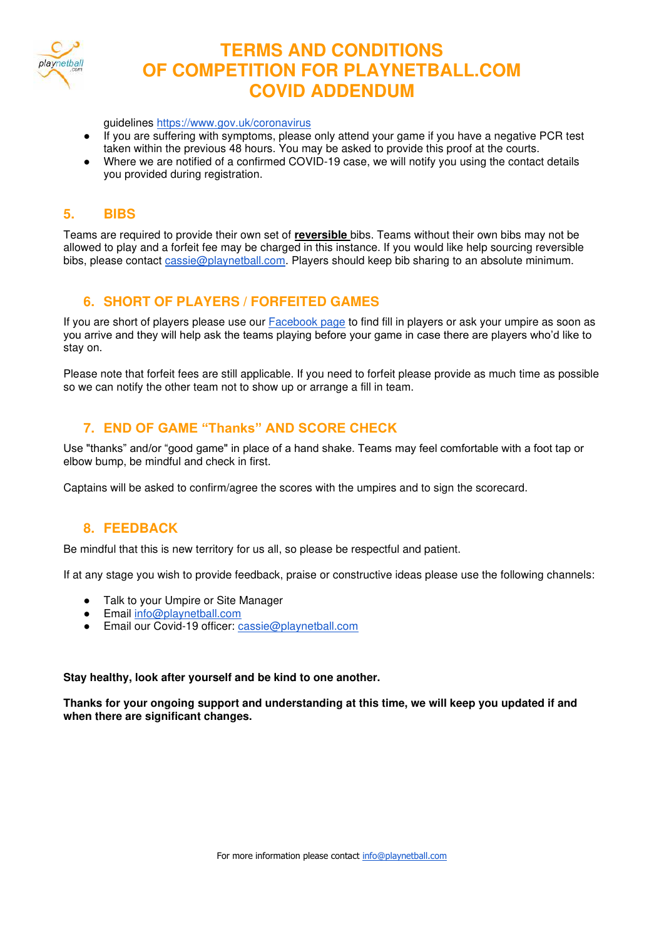

# **TERMS AND CONDITIONS OF COMPETITION FOR PLAYNETBALL.COM COVID ADDENDUM**

guidelines<https://www.gov.uk/coronavirus>

- If you are suffering with symptoms, please only attend your game if you have a negative PCR test taken within the previous 48 hours. You may be asked to provide this proof at the courts.
- Where we are notified of a confirmed COVID-19 case, we will notify you using the contact details you provided during registration.

### **5. BIBS**

Teams are required to provide their own set of **reversible** bibs. Teams without their own bibs may not be allowed to play and a forfeit fee may be charged in this instance. If you would like help sourcing reversible bibs, please contact [cassie@playnetball.com.](mailto:cassie@playnetball.com) Players should keep bib sharing to an absolute minimum.

## **6. SHORT OF PLAYERS / FORFEITED GAMES**

If you are short of players please use our **Facebook page** to find fill in players or ask your umpire as soon as you arrive and they will help ask the teams playing before your game in case there are players who'd like to stay on.

Please note that forfeit fees are still applicable. If you need to forfeit please provide as much time as possible so we can notify the other team not to show up or arrange a fill in team.

### **7. END OF GAME "Thanks" AND SCORE CHECK**

Use "thanks" and/or "good game" in place of a hand shake. Teams may feel comfortable with a foot tap or elbow bump, be mindful and check in first.

Captains will be asked to confirm/agree the scores with the umpires and to sign the scorecard.

# **8. FEEDBACK**

Be mindful that this is new territory for us all, so please be respectful and patient.

If at any stage you wish to provide feedback, praise or constructive ideas please use the following channels:

- Talk to your Umpire or Site Manager
- Email info@playnetball.com
- Email our Covid-19 officer: [cassie@playnetball.com](mailto:cassie@playnetball.com)

#### **Stay healthy, look after yourself and be kind to one another.**

**Thanks for your ongoing support and understanding at this time, we will keep you updated if and when there are significant changes.**